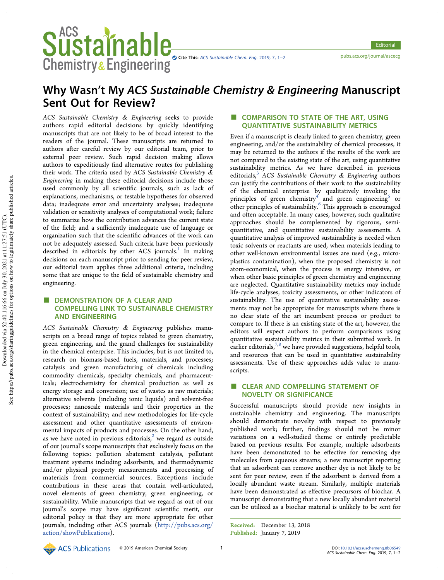

# Why Wasn't My ACS Sustainable Chemistry & Engineering Manuscript Sent Out for Review?

ACS Sustainable Chemistry & Engineering seeks to provide authors rapid editorial decisions by quickly identifying manuscripts that are not likely to be of broad interest to the readers of the journal. These manuscripts are returned to authors after careful review by our editorial team, prior to external peer review. Such rapid decision making allows authors to expeditiously find alternative routes for publishing their work. The criteria used by ACS Sustainable Chemistry & Engineering in making these editorial decisions include those used commonly by all scientific journals, such as lack of explanations, mechanisms, or testable hypotheses for observed data; inadequate error and uncertainty analyses; inadequate validation or sensitivity analyses of computational work; failure to summarize how the contribution advances the current state of the field; and a sufficiently inadequate use of language or organization such that the scientific advances of the work can not be adequately assessed. Such criteria have been previously described in editorials by other ACS journals.<sup>1</sup> In making decisions on each manuscript prior to sending for peer review, our editorial team applies three additional criteria, including some that are unique to the field of sustainable chemistry and engineering.

**Chemistry & Engineering** 

# DEMONSTRATION OF A CLEAR AND COMPELLING LINK TO SUSTAINABLE CHEMISTRY AND ENGINEERING

ACS Sustainable Chemistry & Engineering publishes manuscripts on a broad range of topics related to green chemistry, green engineering, and the grand challenges for sustainability in the chemical enterprise. This includes, but is not limited to, research on biomass-based fuels, materials, and processes; catalysis and green manufacturing of chemicals including commodity chemicals, specialty chemicals, and pharmaceuticals; electrochemistry for chemical production as well as energy storage and conversion; use of wastes as raw materials; alternative solvents (including ionic liquids) and solvent-free processes; nanoscale materials and their properties in the context of sustainability; and new methodologies for life-cycle assessment and other quantitative assessments of environmental impacts of products and processes. On the other hand, as we have noted in previous editorials,<sup>2</sup> we regard as outside of our journal's scope manuscripts that exclusively focus on the following topics: pollution abatement catalysis, pollutant treatment systems including adsorbents, and thermodynamic and/or physical property measurements and processing of materials from commercial sources. Exceptions include contributions in these areas that contain well-articulated, novel elements of green chemistry, green engineering, or sustainability. While manuscripts that we regard as out of our journal's scope may have significant scientific merit, our editorial policy is that they are more appropriate for other journals, including other ACS journals (http://pubs.acs.org/ action/showPublications).

## **COMPARISON TO STATE OF THE ART, USING** QUANTITATIVE SUSTAINABILITY METRICS

Even if a manuscript is clearly linked to green chemistry, green engineering, and/or the sustainability of chemical processes, it may be returned to the authors if the results of the work are not compared to the existing state of the art, using quantitative sustainability metrics. As we have described in previous editorials, $3$  ACS Sustainable Chemistry & Engineering authors can justify the contributions of their work to the sustainability of the chemical enterprise by qualitatively invoking the principles of green chemistry<sup>4</sup> and green engineering<sup>5</sup> or other principles of sustainability.<sup>6</sup> This approach is encouraged and often acceptable. In many cases, however, such qualitative approaches should be complemented by rigorous, semiquantitative, and quantitative sustainability assessments. A quantitative analysis of improved sustainability is needed when toxic solvents or reactants are used, when materials leading to other well-known environmental issues are used (e.g., microplastics contamination), when the proposed chemistry is not atom-economical, when the process is energy intensive, or when other basic principles of green chemistry and engineering are neglected. Quantitative sustainability metrics may include life-cycle analyses, toxicity assessments, or other indicators of sustainability. The use of quantitative sustainability assessments may not be appropriate for manuscripts where there is no clear state of the art incumbent process or product to compare to. If there is an existing state of the art, however, the editors will expect authors to perform comparisons using quantitative sustainability metrics in their submitted work. In earlier editorials,  $7,8$  we have provided suggestions, helpful tools, and resources that can be used in quantitative sustainability assessments. Use of these approaches adds value to manuscripts.

# **CLEAR AND COMPELLING STATEMENT OF** NOVELTY OR SIGNIFICANCE

Successful manuscripts should provide new insights in sustainable chemistry and engineering. The manuscripts should demonstrate novelty with respect to previously published work; further, findings should not be minor variations on a well-studied theme or entirely predictable based on previous results. For example, multiple adsorbents have been demonstrated to be effective for removing dye molecules from aqueous streams; a new manuscript reporting that an adsorbent can remove another dye is not likely to be sent for peer review, even if the adsorbent is derived from a locally abundant waste stream. Similarly, multiple materials have been demonstrated as effective precursors of biochar. A manuscript demonstrating that a new locally abundant material can be utilized as a biochar material is unlikely to be sent for

Received: December 13, 2018 Published: January 7, 2019